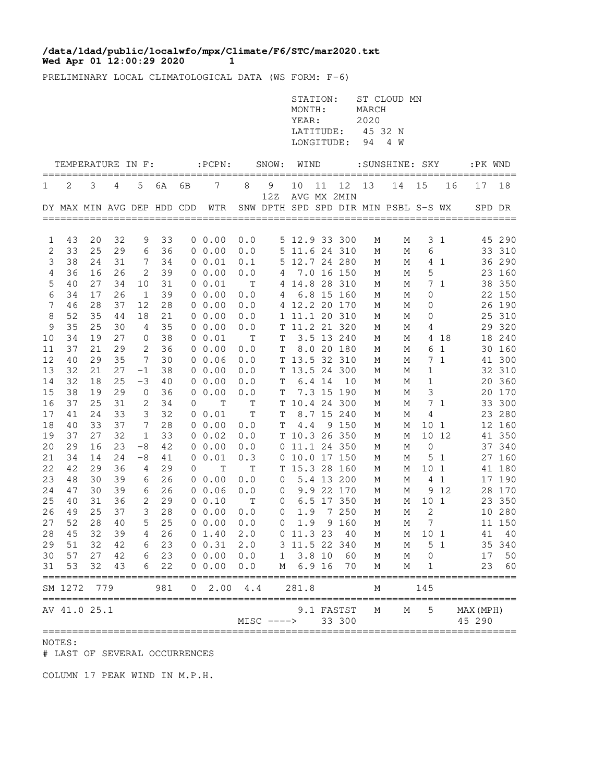## **Wed Apr 01 12:00:29 2020 1 /data/ldad/public/localwfo/mpx/Climate/F6/STC/mar2020.txt**

PRELIMINARY LOCAL CLIMATOLOGICAL DATA (WS FORM: F-6)

|                |                        |          |          |                |          |                |                                |             |                | STATION:<br>MONTH:<br>YEAR:<br>LATITUDE:<br>LONGITUDE: |    |                      | MARCH<br>2020<br>45 32 N<br>94 | ST CLOUD MN<br>4 W                   |                     |                |                     |                  |
|----------------|------------------------|----------|----------|----------------|----------|----------------|--------------------------------|-------------|----------------|--------------------------------------------------------|----|----------------------|--------------------------------|--------------------------------------|---------------------|----------------|---------------------|------------------|
|                | TEMPERATURE IN F:      |          |          |                |          |                | $:$ PCPN:                      |             | SNOW: WIND     |                                                        |    |                      |                                | :SUNSHINE: SKY                       |                     |                | :PK WND             |                  |
| 1              | 2                      | 3        | 4        | 5              | 6A       | 6В             | 7                              | 8           | 9              | 10                                                     | 11 | ==============<br>12 | 13                             | 14                                   | 15                  | 16             | 17                  | 18               |
|                |                        |          |          |                |          |                | DY MAX MIN AVG DEP HDD CDD WTR |             | 12Z            |                                                        |    | AVG MX 2MIN          |                                | SNW DPTH SPD SPD DIR MIN PSBL S-S WX |                     |                |                     | SPD DR           |
|                |                        |          |          |                |          |                |                                |             |                |                                                        |    |                      |                                |                                      |                     |                |                     |                  |
| 1<br>2         | 43<br>33               | 20<br>25 | 32<br>29 | 9<br>6         | 33<br>36 |                | $0\;\;0.00$<br>0 0.00          | 0.0<br>0.0  |                | 5 12.9 33 300<br>5 11.6 24 310                         |    |                      | М<br>М                         | М<br>М                               | 6                   | 3 <sub>1</sub> |                     | 45 290<br>33 310 |
| 3              | 38                     | 24       | 31       | 7              | 34       |                | 0 0.01                         | 0.1         |                | 5 12.7 24 280                                          |    |                      | М                              | М                                    |                     | 4 1            |                     | 36 290           |
| $\overline{4}$ | 36                     | 16       | 26       | 2              | 39       |                | $0\;\;0.00$                    | 0.0         |                | 4 7.0 16 150                                           |    |                      | М                              | М                                    | $\mathsf S$         |                |                     | 23 160           |
| 5              | 40                     | 27       | 34       | 10             | 31       |                | 0 0.01                         | $\mathbb T$ |                | 4 14.8 28 310                                          |    |                      | М                              | М                                    |                     | 7 <sub>1</sub> |                     | 38 350           |
| 6              | 34                     | 17       | 26       | $\mathbf{1}$   | 39       |                | 0 0.00                         | 0.0         | 4              |                                                        |    | 6.8 15 160           | М                              | М                                    | 0                   |                |                     | 22 150           |
| 7              | 46                     | 28       | 37       | 12             | 28       |                | $0\;\;0.00$                    | 0.0         |                | 4 12.2 20 170                                          |    |                      | М                              | М                                    | 0                   |                |                     | 26 190           |
| 8              | 52                     | 35       | 44       | 18             | 21       |                | $0\;\;0.00$                    | 0.0         |                | 1 11.1 20 310                                          |    |                      | М                              | М                                    | 0                   |                |                     | 25 310           |
| 9              | 35                     | 25       | 30       | 4              | 35       |                | 0 0.00                         | 0.0         |                | T 11.2 21 320                                          |    |                      | М                              | М                                    | 4                   |                |                     | 29 320           |
| 10             | 34                     | 19       | 27       | 0              | 38       |                | $0\;\;0.01$                    | Т           | T              |                                                        |    | 3.5 13 240           | М                              | М                                    |                     | 4 18           |                     | 18 240           |
| 11             | 37                     | 21       | 29       | 2              | 36       |                | $0\;\;0.00$                    | 0.0         | $\mathbf T$    |                                                        |    | 8.0 20 180           | М                              | М                                    |                     | 6 1            |                     | 30 160           |
| 12             | 40                     | 29       | 35       | 7              | 30       |                | 0, 0.06                        | 0.0         |                | T 13.5 32 310                                          |    |                      | М                              | М                                    |                     | 7 <sub>1</sub> |                     | 41 300           |
| 13             | 32                     | 21       | 27       | $-1$           | 38       |                | $0\;\;0.00$                    | 0.0         |                | T 13.5 24 300                                          |    |                      | М                              | М                                    | $\mathbf 1$         |                |                     | 32 310           |
| 14             | 32                     | 18       | 25       | -3             | 40       |                | $0\;\;0.00$                    | 0.0         | T              | 6.4 14                                                 |    | 10                   | М                              | М                                    | 1                   |                |                     | 20 360           |
| 15             | 38                     | 19       | 29       | 0              | 36       |                | 0 0.00                         | 0.0         | Т              |                                                        |    | 7.3 15 190           | М                              | М                                    | 3                   |                |                     | 20 170           |
| 16             | 37                     | 25       | 31       | 2              | 34       | 0              | $\mathbf T$                    | Т           |                | T 10.4 24 300                                          |    |                      | М                              | М                                    |                     | 7 <sub>1</sub> |                     | 33 300           |
| 17             | 41                     | 24       | 33       | 3              | 32       |                | 0 0.01                         | Т           | Τ              |                                                        |    | 8.7 15 240           | М                              | М                                    | 4                   |                |                     | 23 280           |
| 18             | 40                     | 33       | 37       | 7              | 28       |                | 0 0.00                         | 0.0         | Т              | 4.4                                                    |    | 9 150                | М                              | М                                    | 10 <sub>1</sub>     |                |                     | 12 160           |
| 19             | 37                     | 27       | 32       | $\mathbf 1$    | 33       |                | $0\;\;0.02$                    | 0.0         |                | T 10.3 26 350                                          |    |                      | М                              | М                                    |                     | 10 12          |                     | 41 350           |
| 20             | 29                     | 16       | 23       | -8             | 42       |                | $0\;\;0.00$                    | 0.0         |                | 0 11.1 24 350                                          |    |                      | М                              | М                                    | 0                   |                |                     | 37 340           |
| 21             | 34                     | 14       | 24       | -8             | 41       |                | 0 0.01                         | 0.3         |                | 0 10.0 17 150                                          |    |                      | М                              | М                                    |                     | 5 <sub>1</sub> |                     | 27 160           |
| 22             | 42                     | 29       | 36       | 4              | 29       | 0              | $\mathbf T$                    | $\mathbb T$ |                | T 15.3 28 160                                          |    |                      | М                              | М                                    | 10 <sub>1</sub>     |                |                     | 41 180           |
| 23             | 48                     | 30       | 39       | 6              | 26       |                | $0\;\;0.00$                    | 0.0         | $\circ$        |                                                        |    | 5.4 13 200           | М                              | М                                    |                     | 4 <sub>1</sub> |                     | 17 190           |
| 24             | 47                     | 30       | 39       | 6              | 26       |                | 0 0.06                         | 0.0         | 0              |                                                        |    | 9.9 22 170           | М                              | М                                    |                     | 9 12           |                     | 28 170           |
| 25             | 40                     | 31       | 36       | $\overline{2}$ | 29       |                | 0 0.10                         | Т           | 0              |                                                        |    | 6.5 17 350           | М                              | М                                    | 10 1                |                |                     | 23 350           |
| 26             | 49                     | 25       | 37       | 3              | 28       |                | $0\;\;0.00$                    | 0.0         | 0              |                                                        |    | 1.9 7 250            | М                              | М                                    | 2                   |                |                     | 10 280           |
| 27             | 52                     | 28       | 40       | 5              | 25       |                | $0\;\;0.00$                    | 0.0         | $\overline{0}$ |                                                        |    | 1.9 9 160            | М                              | М                                    | $\overline{7}$      |                |                     | 11 150           |
|                | 28 45                  | 32       |          |                |          |                | 39  4  26  0  1.40  2.0        |             |                | 0 11.3 23 40 M                                         |    |                      |                                |                                      | M 10 1              |                |                     | 41 40            |
| 29             | 51                     | 32       | 42       |                | 6 23     |                | 0 0.31 2.0                     |             |                | 3 11.5 22 340                                          |    |                      | М                              | М                                    |                     | 5 <sub>1</sub> |                     | 35 340           |
| 30             | 57                     |          | 27 42    |                | 6 23     |                | 0 0.00 0.0                     |             |                | $1 \quad 3.8 \quad 10$                                 |    | 60                   | М                              | М                                    | $\mathsf{O}\xspace$ |                | 17                  | 50               |
| 31             | 53                     | 32       | 43       | 6              | 22       |                | 0 0.00                         | 0.0         |                | M 6.9 16                                               |    | 70                   | М                              | М<br>=======================         | 1                   |                | 23<br>============= | 60               |
|                | SM 1272<br>=========== | 779      |          |                | 981      | $\overline{0}$ | 2.00                           | 4.4         |                | 281.8                                                  |    |                      | М                              |                                      | 145                 |                |                     |                  |
|                | AV 41.0 25.1           |          |          |                |          |                |                                |             |                |                                                        |    | 9.1 FASTST           | М                              | М                                    | 5                   |                | MAX (MPH)           |                  |
|                |                        |          |          |                |          |                |                                |             | $MISC$ $---$   |                                                        |    | 33 300               |                                |                                      |                     |                | 45 290              |                  |

NOTES:

# LAST OF SEVERAL OCCURRENCES

COLUMN 17 PEAK WIND IN M.P.H.